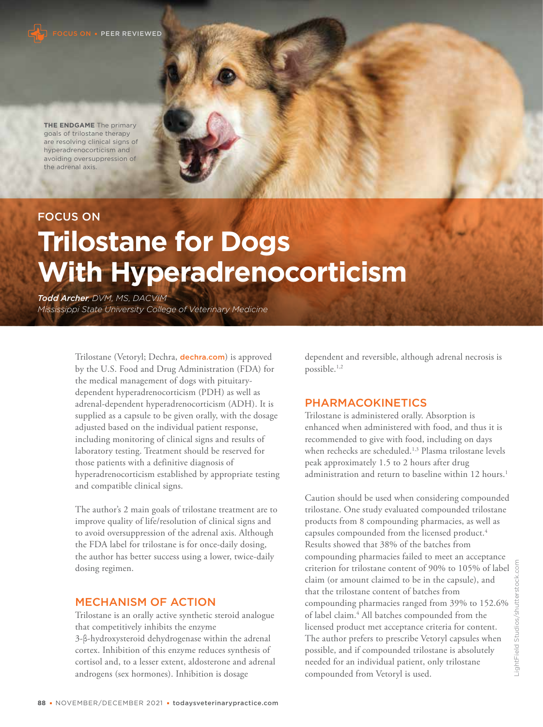

**THE ENDGAME** The primary goals of trilostane therapy are resolving clinical signs of hyperadrenocorticism and avoiding oversuppression of the adrenal axis.

# FOCUS ON

# **Trilostane for Dogs With Hyperadrenocorticism**

*Todd Archer, DVM, MS, DACVIM Mississippi State University College of Veterinary Medicine*

> Trilostane (Vetoryl; Dechra, dechra.com) is approved by the U.S. Food and Drug Administration (FDA) for the medical management of dogs with pituitarydependent hyperadrenocorticism (PDH) as well as adrenal-dependent hyperadrenocorticism (ADH). It is supplied as a capsule to be given orally, with the dosage adjusted based on the individual patient response, including monitoring of clinical signs and results of laboratory testing. Treatment should be reserved for those patients with a definitive diagnosis of hyperadrenocorticism established by appropriate testing and compatible clinical signs.

The author's 2 main goals of trilostane treatment are to improve quality of life/resolution of clinical signs and to avoid oversuppression of the adrenal axis. Although the FDA label for trilostane is for once-daily dosing, the author has better success using a lower, twice-daily dosing regimen.

#### MECHANISM OF ACTION

Trilostane is an orally active synthetic steroid analogue that competitively inhibits the enzyme 3-β-hydroxysteroid dehydrogenase within the adrenal cortex. Inhibition of this enzyme reduces synthesis of cortisol and, to a lesser extent, aldosterone and adrenal androgens (sex hormones). Inhibition is dosage

dependent and reversible, although adrenal necrosis is possible.1,2

### PHARMACOKINETICS

Trilostane is administered orally. Absorption is enhanced when administered with food, and thus it is recommended to give with food, including on days when rechecks are scheduled.<sup>1,3</sup> Plasma trilostane levels peak approximately 1.5 to 2 hours after drug administration and return to baseline within 12 hours.<sup>1</sup>

Caution should be used when considering compounded trilostane. One study evaluated compounded trilostane products from 8 compounding pharmacies, as well as capsules compounded from the licensed product.<sup>4</sup> Results showed that 38% of the batches from compounding pharmacies failed to meet an acceptance criterion for trilostane content of 90% to 105% of label  $\frac{5}{9}$ claim (or amount claimed to be in the capsule), and that the trilostane content of batches from compounding pharmacies ranged from 39% to 152.6% of label claim.<sup>4</sup> All batches compounded from the licensed product met acceptance criteria for content. The author prefers to prescribe Vetoryl capsules when possible, and if compounded trilostane is absolutely needed for an individual patient, only trilostane compounded from Vetoryl is used.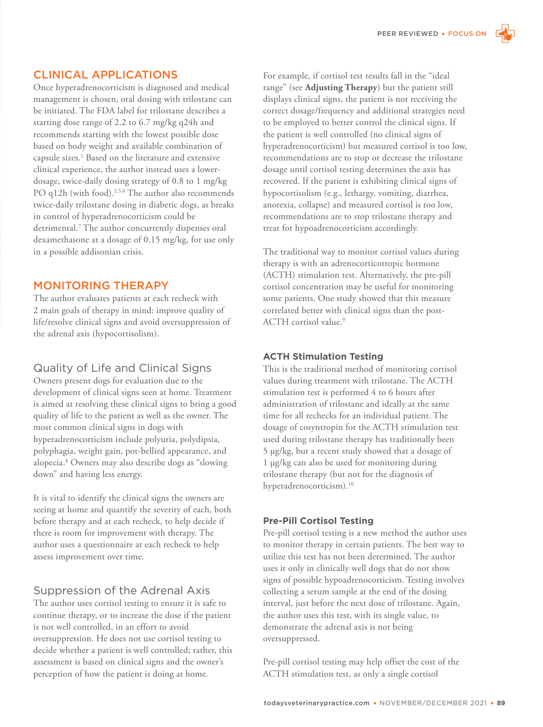# CLINICAL APPLICATIONS

Once hyperadrenocorticism is diagnosed and medical management is chosen, oral dosing with trilostane can be initiated. The FDA label for trilostane describes a starting dose range of 2.2 to 6.7 mg/kg q24h and recommends starting with the lowest possible dose based on body weight and available combination of capsule sizes.<sup>1</sup> Based on the literature and extensive clinical experience, the author instead uses a lowerdosage, twice-daily dosing strategy of 0.8 to 1 mg/kg PO q12h (with food).<sup>2,5,6</sup> The author also recommends twice-daily trilostane dosing in diabetic dogs, as breaks in control of hyperadrenocorticism could be detrimental.<sup>7</sup> The author concurrently dispenses oral dexamethasone at a dosage of 0.15 mg/kg, for use only in a possible addisonian crisis.

## MONITORING THERAPY

The author evaluates patients at each recheck with 2 main goals of therapy in mind: improve quality of life/resolve clinical signs and avoid oversuppression of the adrenal axis (hypocortisolism).

# Quality of Life and Clinical Signs

Owners present dogs for evaluation due to the development of clinical signs seen at home. Treatment is aimed at resolving these clinical signs to bring a good quality of life to the patient as well as the owner. The most common clinical signs in dogs with hyperadrenocorticism include polyuria, polydipsia, polyphagia, weight gain, pot-bellied appearance, and alopecia.<sup>8</sup> Owners may also describe dogs as "slowing down" and having less energy.

It is vital to identify the clinical signs the owners are seeing at home and quantify the severity of each, both before therapy and at each recheck, to help decide if there is room for improvement with therapy. The author uses a questionnaire at each recheck to help assess improvement over time.

# Suppression of the Adrenal Axis

The author uses cortisol testing to ensure it is safe to continue therapy, or to increase the dose if the patient is not well controlled, in an effort to avoid oversuppression. He does not use cortisol testing to decide whether a patient is well controlled; rather, this assessment is based on clinical signs and the owner's perception of how the patient is doing at home.

For example, if cortisol test results fall in the "ideal range" (see **Adjusting Therapy**) but the patient still displays clinical signs, the patient is not receiving the correct dosage/frequency and additional strategies need to be employed to better control the clinical signs. If the patient is well controlled (no clinical signs of hyperadrenocorticism) but measured cortisol is too low, recommendations are to stop or decrease the trilostane dosage until cortisol testing determines the axis has recovered. If the patient is exhibiting clinical signs of hypocortisolism (e.g., lethargy, vomiting, diarrhea, anorexia, collapse) and measured cortisol is too low, recommendations are to stop trilostane therapy and treat for hypoadrenocorticism accordingly.

The traditional way to monitor cortisol values during therapy is with an adrenocorticotropic hormone (ACTH) stimulation test. Alternatively, the pre-pill cortisol concentration may be useful for monitoring some patients. One study showed that this measure correlated better with clinical signs than the post-ACTH cortisol value.<sup>9</sup>

### **ACTH Stimulation Testing**

This is the traditional method of monitoring cortisol values during treatment with trilostane. The ACTH stimulation test is performed 4 to 6 hours after administration of trilostane and ideally at the same time for all rechecks for an individual patient. The dosage of cosyntropin for the ACTH stimulation test used during trilostane therapy has traditionally been 5 µg/kg, but a recent study showed that a dosage of 1 µg/kg can also be used for monitoring during trilostane therapy (but not for the diagnosis of hyperadrenocorticism).<sup>10</sup>

### **Pre-Pill Cortisol Testing**

Pre-pill cortisol testing is a new method the author uses to monitor therapy in certain patients. The best way to utilize this test has not been determined. The author uses it only in clinically well dogs that do not show signs of possible hypoadrenocorticism. Testing involves collecting a serum sample at the end of the dosing interval, just before the next dose of trilostane. Again, the author uses this test, with its single value, to demonstrate the adrenal axis is not being oversuppressed.

Pre-pill cortisol testing may help offset the cost of the ACTH stimulation test, as only a single cortisol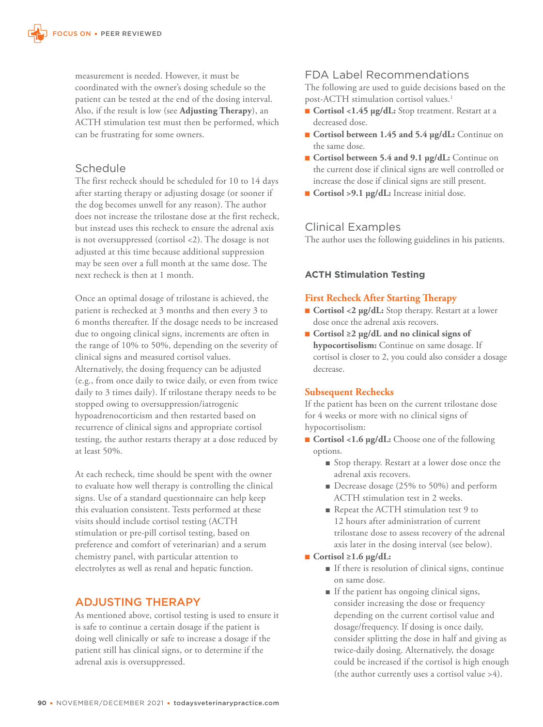measurement is needed. However, it must be coordinated with the owner's dosing schedule so the patient can be tested at the end of the dosing interval. Also, if the result is low (see **Adjusting Therapy**), an ACTH stimulation test must then be performed, which can be frustrating for some owners.

## **Schedule**

The first recheck should be scheduled for 10 to 14 days after starting therapy or adjusting dosage (or sooner if the dog becomes unwell for any reason). The author does not increase the trilostane dose at the first recheck, but instead uses this recheck to ensure the adrenal axis is not oversuppressed (cortisol <2). The dosage is not adjusted at this time because additional suppression may be seen over a full month at the same dose. The next recheck is then at 1 month.

Once an optimal dosage of trilostane is achieved, the patient is rechecked at 3 months and then every 3 to 6 months thereafter. If the dosage needs to be increased due to ongoing clinical signs, increments are often in the range of 10% to 50%, depending on the severity of clinical signs and measured cortisol values. Alternatively, the dosing frequency can be adjusted (e.g., from once daily to twice daily, or even from twice daily to 3 times daily). If trilostane therapy needs to be stopped owing to oversuppression/iatrogenic hypoadrenocorticism and then restarted based on recurrence of clinical signs and appropriate cortisol testing, the author restarts therapy at a dose reduced by at least 50%.

At each recheck, time should be spent with the owner to evaluate how well therapy is controlling the clinical signs. Use of a standard questionnaire can help keep this evaluation consistent. Tests performed at these visits should include cortisol testing (ACTH stimulation or pre-pill cortisol testing, based on preference and comfort of veterinarian) and a serum chemistry panel, with particular attention to electrolytes as well as renal and hepatic function.

# ADJUSTING THERAPY

As mentioned above, cortisol testing is used to ensure it is safe to continue a certain dosage if the patient is doing well clinically or safe to increase a dosage if the patient still has clinical signs, or to determine if the adrenal axis is oversuppressed.

### FDA Label Recommendations

The following are used to guide decisions based on the post-ACTH stimulation cortisol values.<sup>1</sup>

- **Cortisol <1.45 µg/dL:** Stop treatment. Restart at a decreased dose.
- **Cortisol between 1.45 and 5.4 µg/dL:** Continue on the same dose.
- **Cortisol between 5.4 and 9.1 µg/dL:** Continue on the current dose if clinical signs are well controlled or increase the dose if clinical signs are still present.
- **Cortisol >9.1 µg/dL:** Increase initial dose.

## Clinical Examples

The author uses the following guidelines in his patients.

## **ACTH Stimulation Testing**

### **First Recheck After Starting Therapy**

- **Cortisol <2 µg/dL:** Stop therapy. Restart at a lower dose once the adrenal axis recovers.
- ■ **Cortisol ≥2 µg/dL and no clinical signs of hypocortisolism:** Continue on same dosage. If cortisol is closer to 2, you could also consider a dosage decrease.

### **Subsequent Rechecks**

If the patient has been on the current trilostane dose for 4 weeks or more with no clinical signs of hypocortisolism:

- **Cortisol <1.6 µg/dL:** Choose one of the following options.
	- Stop therapy. Restart at a lower dose once the adrenal axis recovers.
	- Decrease dosage (25% to 50%) and perform ACTH stimulation test in 2 weeks.
	- Repeat the ACTH stimulation test 9 to 12 hours after administration of current trilostane dose to assess recovery of the adrenal axis later in the dosing interval (see below).

### ■ **Cortisol ≥1.6 µg/dL:**

- ■ If there is resolution of clinical signs, continue on same dose.
- ■ If the patient has ongoing clinical signs, consider increasing the dose or frequency depending on the current cortisol value and dosage/frequency. If dosing is once daily, consider splitting the dose in half and giving as twice-daily dosing. Alternatively, the dosage could be increased if the cortisol is high enough (the author currently uses a cortisol value >4).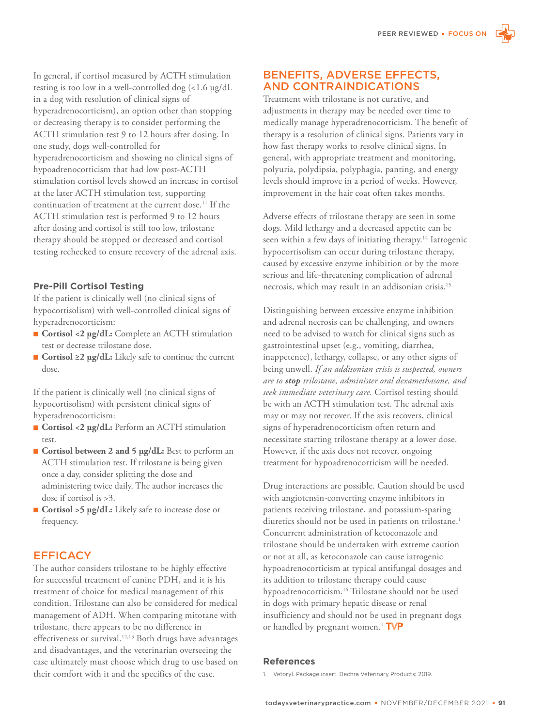In general, if cortisol measured by ACTH stimulation testing is too low in a well-controlled dog (<1.6 µg/dL in a dog with resolution of clinical signs of hyperadrenocorticism), an option other than stopping or decreasing therapy is to consider performing the ACTH stimulation test 9 to 12 hours after dosing. In one study, dogs well-controlled for hyperadrenocorticism and showing no clinical signs of hypoadrenocorticism that had low post-ACTH stimulation cortisol levels showed an increase in cortisol at the later ACTH stimulation test, supporting continuation of treatment at the current dose.<sup>11</sup> If the ACTH stimulation test is performed 9 to 12 hours after dosing and cortisol is still too low, trilostane therapy should be stopped or decreased and cortisol testing rechecked to ensure recovery of the adrenal axis.

#### **Pre-Pill Cortisol Testing**

If the patient is clinically well (no clinical signs of hypocortisolism) with well-controlled clinical signs of hyperadrenocorticism:

- **Cortisol <2 µg/dL:** Complete an ACTH stimulation test or decrease trilostane dose.
- **Cortisol ≥2 µg/dL:** Likely safe to continue the current dose.

If the patient is clinically well (no clinical signs of hypocortisolism) with persistent clinical signs of hyperadrenocorticism:

- **Cortisol <2 µg/dL:** Perform an ACTH stimulation test.
- **Cortisol between 2 and 5 µg/dL:** Best to perform an ACTH stimulation test. If trilostane is being given once a day, consider splitting the dose and administering twice daily. The author increases the dose if cortisol is >3.
- **Cortisol >5 µg/dL:** Likely safe to increase dose or frequency.

### **EFFICACY**

The author considers trilostane to be highly effective for successful treatment of canine PDH, and it is his treatment of choice for medical management of this condition. Trilostane can also be considered for medical management of ADH. When comparing mitotane with trilostane, there appears to be no difference in effectiveness or survival.<sup>12,13</sup> Both drugs have advantages and disadvantages, and the veterinarian overseeing the case ultimately must choose which drug to use based on their comfort with it and the specifics of the case.

### BENEFITS, ADVERSE EFFECTS, AND CONTRAINDICATIONS

Treatment with trilostane is not curative, and adjustments in therapy may be needed over time to medically manage hyperadrenocorticism. The benefit of therapy is a resolution of clinical signs. Patients vary in how fast therapy works to resolve clinical signs. In general, with appropriate treatment and monitoring, polyuria, polydipsia, polyphagia, panting, and energy levels should improve in a period of weeks. However, improvement in the hair coat often takes months.

Adverse effects of trilostane therapy are seen in some dogs. Mild lethargy and a decreased appetite can be seen within a few days of initiating therapy.<sup>14</sup> Iatrogenic hypocortisolism can occur during trilostane therapy, caused by excessive enzyme inhibition or by the more serious and life-threatening complication of adrenal necrosis, which may result in an addisonian crisis.<sup>15</sup>

Distinguishing between excessive enzyme inhibition and adrenal necrosis can be challenging, and owners need to be advised to watch for clinical signs such as gastrointestinal upset (e.g., vomiting, diarrhea, inappetence), lethargy, collapse, or any other signs of being unwell. *If an addisonian crisis is suspected, owners are to stop trilostane, administer oral dexamethasone, and seek immediate veterinary care.* Cortisol testing should be with an ACTH stimulation test. The adrenal axis may or may not recover. If the axis recovers, clinical signs of hyperadrenocorticism often return and necessitate starting trilostane therapy at a lower dose. However, if the axis does not recover, ongoing treatment for hypoadrenocorticism will be needed.

Drug interactions are possible. Caution should be used with angiotensin-converting enzyme inhibitors in patients receiving trilostane, and potassium-sparing diuretics should not be used in patients on trilostane.<sup>1</sup> Concurrent administration of ketoconazole and trilostane should be undertaken with extreme caution or not at all, as ketoconazole can cause iatrogenic hypoadrenocorticism at typical antifungal dosages and its addition to trilostane therapy could cause hypoadrenocorticism.<sup>16</sup> Trilostane should not be used in dogs with primary hepatic disease or renal insufficiency and should not be used in pregnant dogs or handled by pregnant women.<sup>1</sup> TVP

#### **References**

1. Vetoryl. Package insert. Dechra Veterinary Products; 2019.